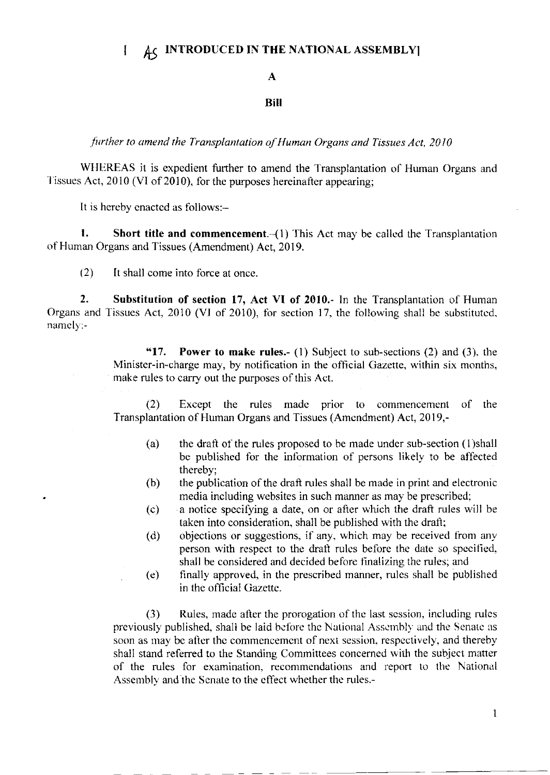# $\uparrow$   $\uparrow$  A<sub>C</sub> INTRODUCED IN THE NATIONAL ASSEMBLY

### A

#### Bill

further to amend the Transplantation of Human Organs and Tissues Act, 2010

WHEREAS it is expedient further to amend the Transplantation of Human Organs and Tissues Act, 2010 (VI of 2010), for the purposes hereinafter appearing;

It is hereby cnactcd as follows:-

**1.** Short title and commencement. $-(1)$  This Act may be called the Transplantation of Human Organs and Tissues (Amendment) Act, 2019.

 $(2)$  It shall come into force at once.

2. Substitution of section 17, Act VI of 2010.- In the Transplantation of Human Organs and Tissues Act, 2010 (VI of 2010), for section 17, the following shall be substituted, namely:-

> "17. Power to make rules.- (1) Subject to sub-sections (2) and (3), the Minister-in-charge may, by notification in the official Gazette, within six months, make rules to carry out the purposes of this Act.

> (2) Except the rules made prior to commencement of the Transplantation of Human Organs and Tissues (Amcndment) Act, 2019,-

- (a) the drati of the rules proposed to he made undcr sub-section (l)shall be published for the information of persons likely to be affected thereby;
- $(b)$  the publication of the draft rules shall be made in print and electronic media including websites in such manner as may be prescribed;
- $(c)$  a notice specifying a date, on or after which the draft rules will be taken into consideration, shall be published with the drafl;
- (d) objections or suggestions, if any, which may be received from any person with respect to the draft rules before the date so specified, shall be considered and decided before finalizing the rules; and
- (e) finally approved. in the prescribed manner, rulcs shall be published in thc official Gazette.

(3) Rules, madc atter the prorogation of thc last scssion, including rulcs previously published, shall be laid before the National Assembly and the Senate as soon as may be after the commencement of next session, respectively, and thereby shall stand referred to the Standing Committees concerned with the subject matter of the rules for examination, recommendations and report to the National Assembly and the Senate to the effect whether the rules.-

I